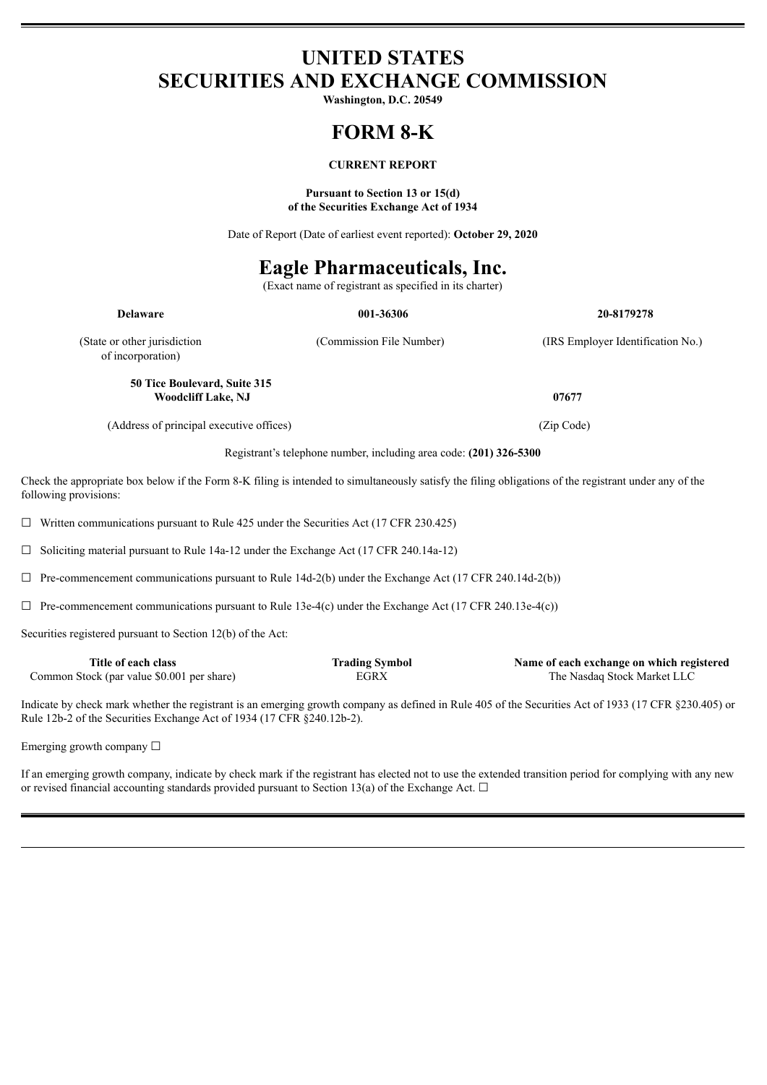# **UNITED STATES SECURITIES AND EXCHANGE COMMISSION**

**Washington, D.C. 20549**

# **FORM 8-K**

# **CURRENT REPORT**

#### **Pursuant to Section 13 or 15(d) of the Securities Exchange Act of 1934**

Date of Report (Date of earliest event reported): **October 29, 2020**

# **Eagle Pharmaceuticals, Inc.**

(Exact name of registrant as specified in its charter)

| <b>Delaware</b>                                           | 001-36306                | 20-8179278                        |
|-----------------------------------------------------------|--------------------------|-----------------------------------|
| (State or other jurisdiction)<br>of incorporation)        | (Commission File Number) | (IRS Employer Identification No.) |
| 50 Tice Boulevard, Suite 315<br><b>Woodcliff Lake, NJ</b> |                          | 07677                             |
| (Address of principal executive offices)                  |                          | (Zip Code)                        |

Registrant's telephone number, including area code: **(201) 326-5300**

Check the appropriate box below if the Form 8-K filing is intended to simultaneously satisfy the filing obligations of the registrant under any of the following provisions:

 $\Box$  Written communications pursuant to Rule 425 under the Securities Act (17 CFR 230.425)

☐ Soliciting material pursuant to Rule 14a-12 under the Exchange Act (17 CFR 240.14a-12)

 $\Box$  Pre-commencement communications pursuant to Rule 14d-2(b) under the Exchange Act (17 CFR 240.14d-2(b))

 $\Box$  Pre-commencement communications pursuant to Rule 13e-4(c) under the Exchange Act (17 CFR 240.13e-4(c))

Securities registered pursuant to Section 12(b) of the Act:

| Title of each class                        | <b>Trading Symbol</b> | Name of each exchange on which registered |
|--------------------------------------------|-----------------------|-------------------------------------------|
| Common Stock (par value \$0.001 per share) | EGRX                  | The Nasdag Stock Market LLC               |

Indicate by check mark whether the registrant is an emerging growth company as defined in Rule 405 of the Securities Act of 1933 (17 CFR §230.405) or Rule 12b-2 of the Securities Exchange Act of 1934 (17 CFR §240.12b-2).

Emerging growth company  $\Box$ 

If an emerging growth company, indicate by check mark if the registrant has elected not to use the extended transition period for complying with any new or revised financial accounting standards provided pursuant to Section 13(a) of the Exchange Act.  $\Box$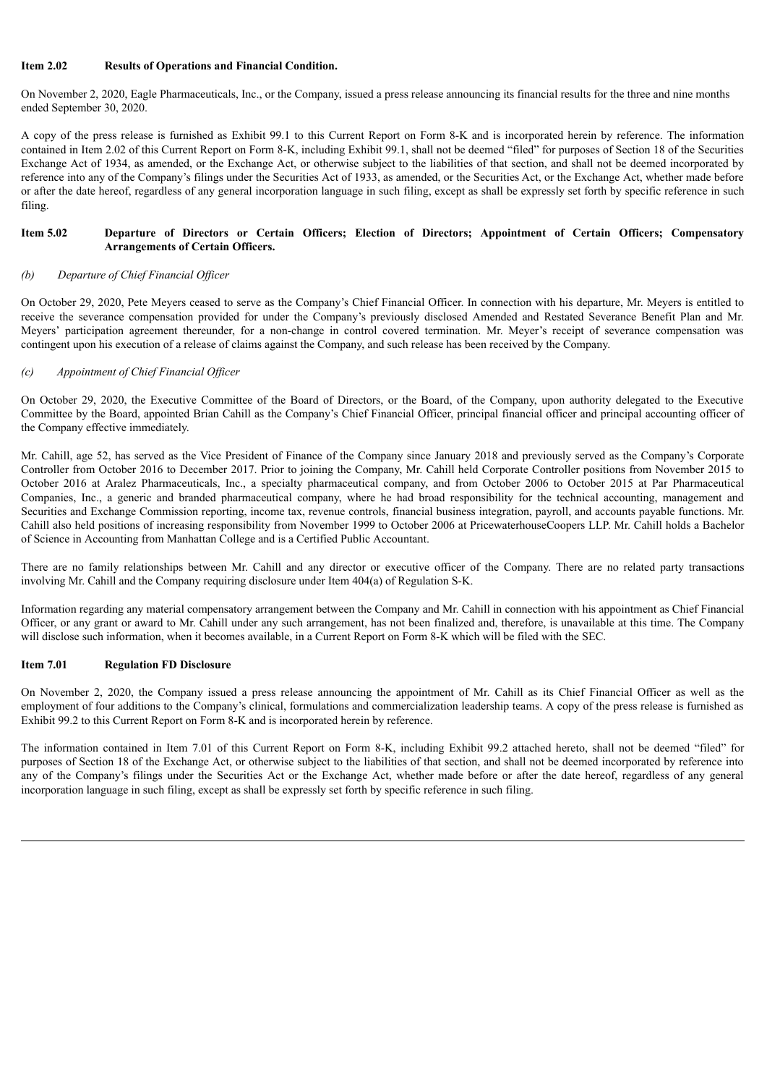#### **Item 2.02 Results of Operations and Financial Condition.**

On November 2, 2020, Eagle Pharmaceuticals, Inc., or the Company, issued a press release announcing its financial results for the three and nine months ended September 30, 2020.

A copy of the press release is furnished as Exhibit 99.1 to this Current Report on Form 8-K and is incorporated herein by reference. The information contained in Item 2.02 of this Current Report on Form 8-K, including Exhibit 99.1, shall not be deemed "filed" for purposes of Section 18 of the Securities Exchange Act of 1934, as amended, or the Exchange Act, or otherwise subject to the liabilities of that section, and shall not be deemed incorporated by reference into any of the Company's filings under the Securities Act of 1933, as amended, or the Securities Act, or the Exchange Act, whether made before or after the date hereof, regardless of any general incorporation language in such filing, except as shall be expressly set forth by specific reference in such filing.

# Item 5.02 Departure of Directors or Certain Officers; Election of Directors; Appointment of Certain Officers; Compensatory **Arrangements of Certain Officers.**

#### *(b) Departure of Chief Financial Of icer*

On October 29, 2020, Pete Meyers ceased to serve as the Company's Chief Financial Officer. In connection with his departure, Mr. Meyers is entitled to receive the severance compensation provided for under the Company's previously disclosed Amended and Restated Severance Benefit Plan and Mr. Meyers' participation agreement thereunder, for a non-change in control covered termination. Mr. Meyer's receipt of severance compensation was contingent upon his execution of a release of claims against the Company, and such release has been received by the Company.

#### *(c) Appointment of Chief Financial Of icer*

On October 29, 2020, the Executive Committee of the Board of Directors, or the Board, of the Company, upon authority delegated to the Executive Committee by the Board, appointed Brian Cahill as the Company's Chief Financial Officer, principal financial officer and principal accounting officer of the Company effective immediately.

Mr. Cahill, age 52, has served as the Vice President of Finance of the Company since January 2018 and previously served as the Company's Corporate Controller from October 2016 to December 2017. Prior to joining the Company, Mr. Cahill held Corporate Controller positions from November 2015 to October 2016 at Aralez Pharmaceuticals, Inc., a specialty pharmaceutical company, and from October 2006 to October 2015 at Par Pharmaceutical Companies, Inc., a generic and branded pharmaceutical company, where he had broad responsibility for the technical accounting, management and Securities and Exchange Commission reporting, income tax, revenue controls, financial business integration, payroll, and accounts payable functions. Mr. Cahill also held positions of increasing responsibility from November 1999 to October 2006 at PricewaterhouseCoopers LLP. Mr. Cahill holds a Bachelor of Science in Accounting from Manhattan College and is a Certified Public Accountant.

There are no family relationships between Mr. Cahill and any director or executive officer of the Company. There are no related party transactions involving Mr. Cahill and the Company requiring disclosure under Item 404(a) of Regulation S-K.

Information regarding any material compensatory arrangement between the Company and Mr. Cahill in connection with his appointment as Chief Financial Officer, or any grant or award to Mr. Cahill under any such arrangement, has not been finalized and, therefore, is unavailable at this time. The Company will disclose such information, when it becomes available, in a Current Report on Form 8-K which will be filed with the SEC.

#### **Item 7.01 Regulation FD Disclosure**

On November 2, 2020, the Company issued a press release announcing the appointment of Mr. Cahill as its Chief Financial Officer as well as the employment of four additions to the Company's clinical, formulations and commercialization leadership teams. A copy of the press release is furnished as Exhibit 99.2 to this Current Report on Form 8-K and is incorporated herein by reference.

The information contained in Item 7.01 of this Current Report on Form 8-K, including Exhibit 99.2 attached hereto, shall not be deemed "filed" for purposes of Section 18 of the Exchange Act, or otherwise subject to the liabilities of that section, and shall not be deemed incorporated by reference into any of the Company's filings under the Securities Act or the Exchange Act, whether made before or after the date hereof, regardless of any general incorporation language in such filing, except as shall be expressly set forth by specific reference in such filing.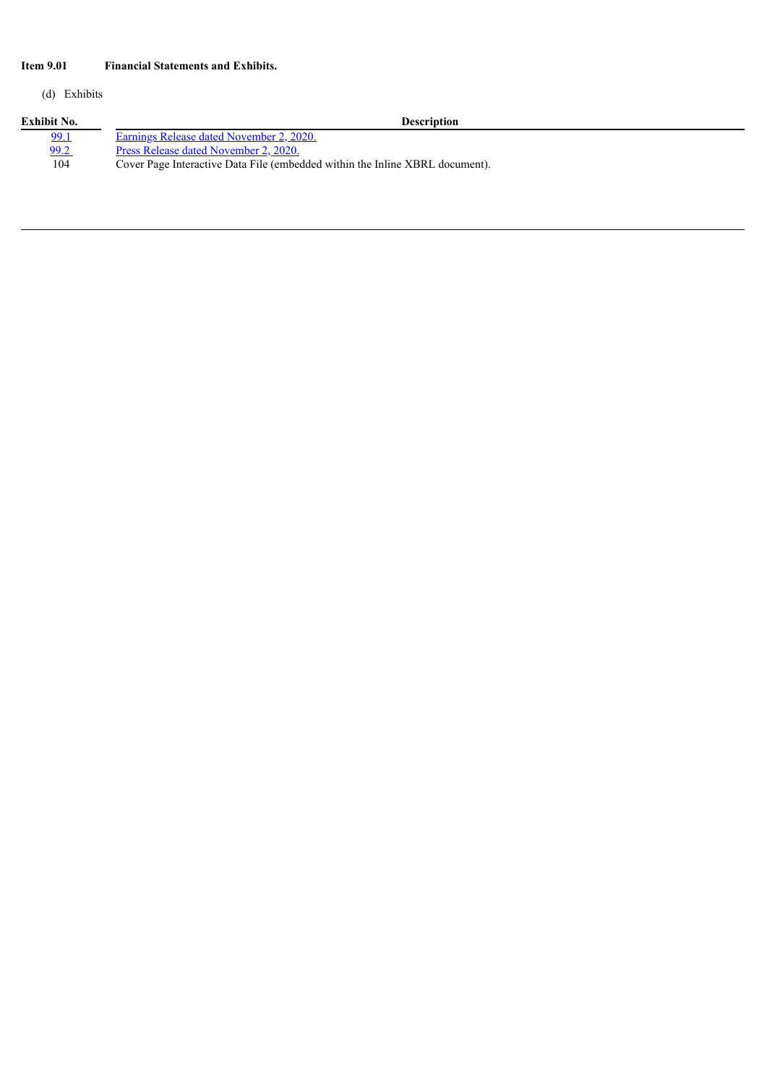# **Item 9.01 Financial Statements and Exhibits.**

# (d) Exhibits

| Exhibit No.  | <b>Description</b>                                                           |
|--------------|------------------------------------------------------------------------------|
| <u>99.1</u>  | Earnings Release dated November 2, 2020.                                     |
| <u>99.2 </u> | Press Release dated November 2, 2020.                                        |
| 104          | Cover Page Interactive Data File (embedded within the Inline XBRL document). |
|              |                                                                              |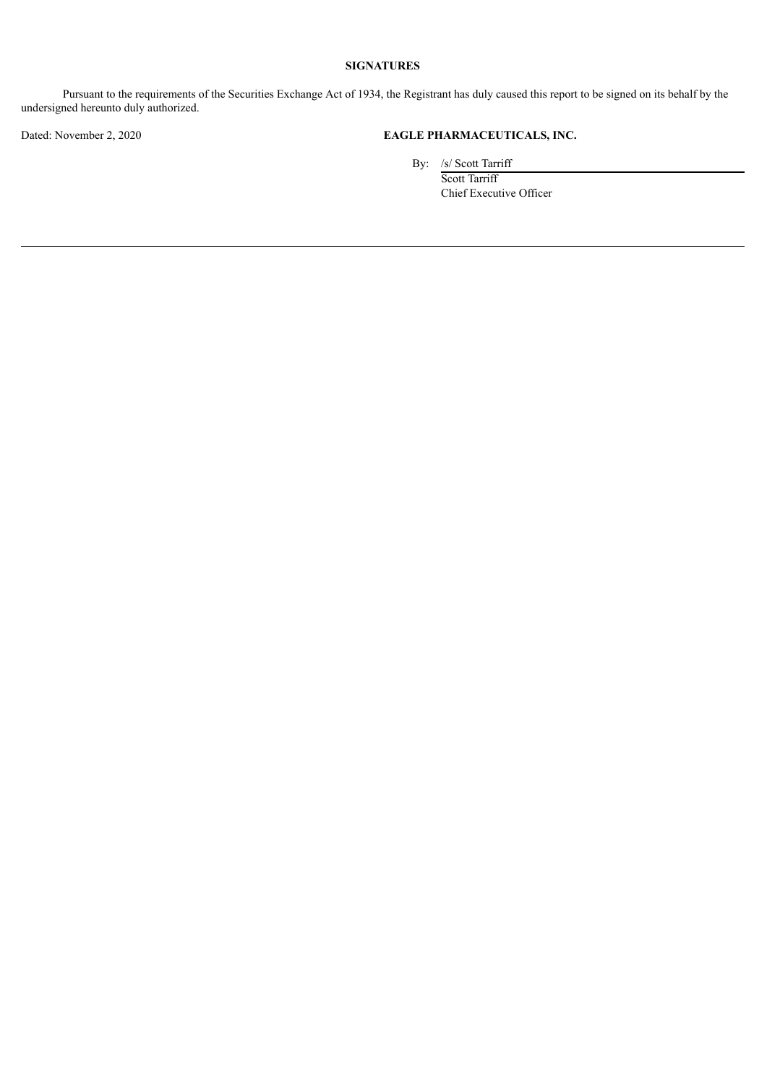# **SIGNATURES**

Pursuant to the requirements of the Securities Exchange Act of 1934, the Registrant has duly caused this report to be signed on its behalf by the undersigned hereunto duly authorized.

# Dated: November 2, 2020 **EAGLE PHARMACEUTICALS, INC.**

By: /s/ Scott Tarriff

Scott Tarriff Chief Executive Officer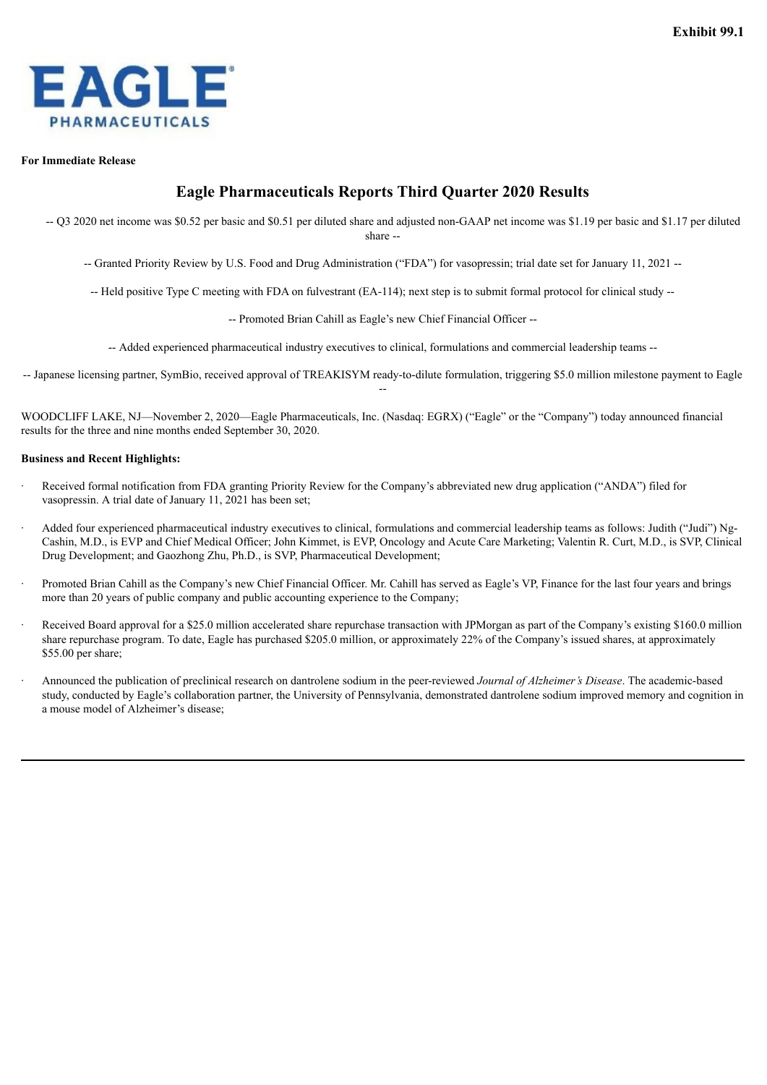<span id="page-4-0"></span>

## **For Immediate Release**

# **Eagle Pharmaceuticals Reports Third Quarter 2020 Results**

-- Q3 2020 net income was \$0.52 per basic and \$0.51 per diluted share and adjusted non-GAAP net income was \$1.19 per basic and \$1.17 per diluted share --

-- Granted Priority Review by U.S. Food and Drug Administration ("FDA") for vasopressin; trial date set for January 11, 2021 --

-- Held positive Type C meeting with FDA on fulvestrant (EA-114); next step is to submit formal protocol for clinical study --

-- Promoted Brian Cahill as Eagle's new Chief Financial Officer --

-- Added experienced pharmaceutical industry executives to clinical, formulations and commercial leadership teams --

-- Japanese licensing partner, SymBio, received approval of TREAKISYM ready-to-dilute formulation, triggering \$5.0 million milestone payment to Eagle --

WOODCLIFF LAKE, NJ—November 2, 2020—Eagle Pharmaceuticals, Inc. (Nasdaq: EGRX) ("Eagle" or the "Company") today announced financial results for the three and nine months ended September 30, 2020.

### **Business and Recent Highlights:**

- Received formal notification from FDA granting Priority Review for the Company's abbreviated new drug application ("ANDA") filed for vasopressin. A trial date of January 11, 2021 has been set;
- · Added four experienced pharmaceutical industry executives to clinical, formulations and commercial leadership teams as follows: Judith ("Judi") Ng-Cashin, M.D., is EVP and Chief Medical Officer; John Kimmet, is EVP, Oncology and Acute Care Marketing; Valentin R. Curt, M.D., is SVP, Clinical Drug Development; and Gaozhong Zhu, Ph.D., is SVP, Pharmaceutical Development;
- Promoted Brian Cahill as the Company's new Chief Financial Officer. Mr. Cahill has served as Eagle's VP, Finance for the last four years and brings more than 20 years of public company and public accounting experience to the Company;
- Received Board approval for a \$25.0 million accelerated share repurchase transaction with JPMorgan as part of the Company's existing \$160.0 million share repurchase program. To date, Eagle has purchased \$205.0 million, or approximately 22% of the Company's issued shares, at approximately \$55.00 per share;
- · Announced the publication of preclinical research on dantrolene sodium in the peer-reviewed *Journal of Alzheimer's Disease*. The academic-based study, conducted by Eagle's collaboration partner, the University of Pennsylvania, demonstrated dantrolene sodium improved memory and cognition in a mouse model of Alzheimer's disease;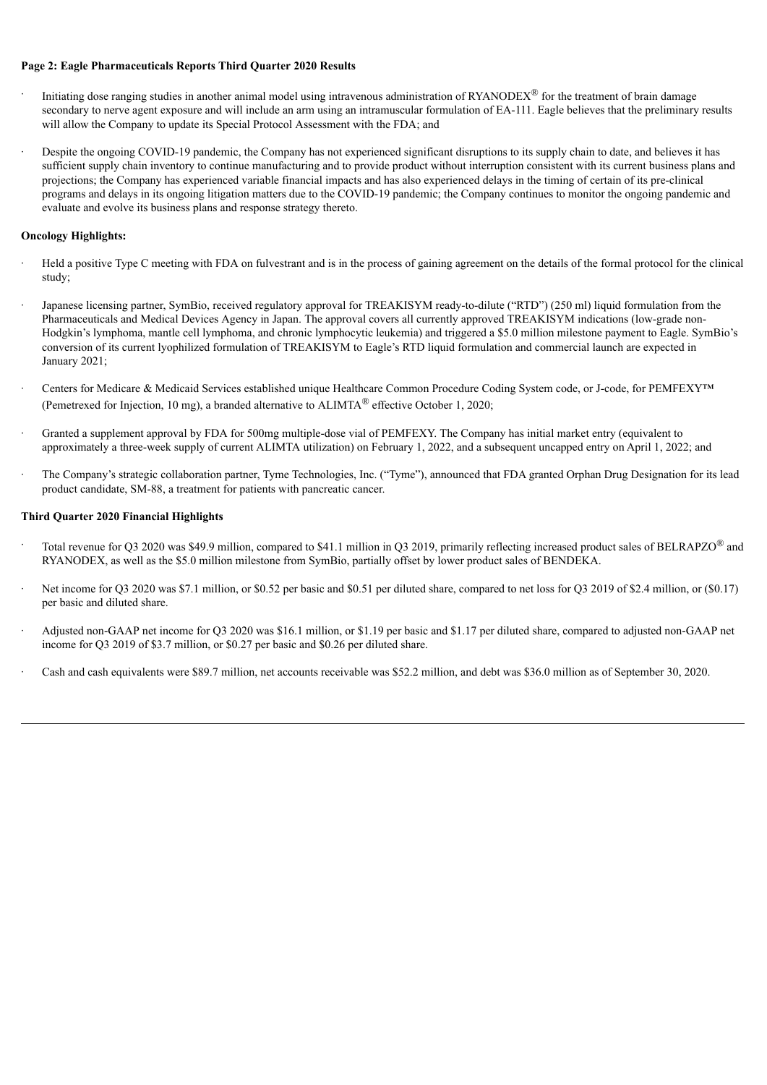#### **Page 2: Eagle Pharmaceuticals Reports Third Quarter 2020 Results**

- Initiating dose ranging studies in another animal model using intravenous administration of RYANODEX<sup>®</sup> for the treatment of brain damage secondary to nerve agent exposure and will include an arm using an intramuscular formulation of EA-111. Eagle believes that the preliminary results will allow the Company to update its Special Protocol Assessment with the FDA; and
- Despite the ongoing COVID-19 pandemic, the Company has not experienced significant disruptions to its supply chain to date, and believes it has sufficient supply chain inventory to continue manufacturing and to provide product without interruption consistent with its current business plans and projections; the Company has experienced variable financial impacts and has also experienced delays in the timing of certain of its pre-clinical programs and delays in its ongoing litigation matters due to the COVID-19 pandemic; the Company continues to monitor the ongoing pandemic and evaluate and evolve its business plans and response strategy thereto.

#### **Oncology Highlights:**

- · Held a positive Type C meeting with FDA on fulvestrant and is in the process of gaining agreement on the details of the formal protocol for the clinical study;
- Japanese licensing partner, SymBio, received regulatory approval for TREAKISYM ready-to-dilute ("RTD") (250 ml) liquid formulation from the Pharmaceuticals and Medical Devices Agency in Japan. The approval covers all currently approved TREAKISYM indications (low-grade non-Hodgkin's lymphoma, mantle cell lymphoma, and chronic lymphocytic leukemia) and triggered a \$5.0 million milestone payment to Eagle. SymBio's conversion of its current lyophilized formulation of TREAKISYM to Eagle's RTD liquid formulation and commercial launch are expected in January 2021;
- · Centers for Medicare & Medicaid Services established unique Healthcare Common Procedure Coding System code, or J-code, for PEMFEXY™ (Pemetrexed for Injection, 10 mg), a branded alternative to  $ALIMTA^{\circledR}$  effective October 1, 2020;
- Granted a supplement approval by FDA for 500mg multiple-dose vial of PEMFEXY. The Company has initial market entry (equivalent to approximately a three-week supply of current ALIMTA utilization) on February 1, 2022, and a subsequent uncapped entry on April 1, 2022; and
- · The Company's strategic collaboration partner, Tyme Technologies, Inc. ("Tyme"), announced that FDA granted Orphan Drug Designation for its lead product candidate, SM-88, a treatment for patients with pancreatic cancer.

#### **Third Quarter 2020 Financial Highlights**

- Total revenue for Q3 2020 was \$49.9 million, compared to \$41.1 million in Q3 2019, primarily reflecting increased product sales of BELRAPZO $^{\circledR}$  and RYANODEX, as well as the \$5.0 million milestone from SymBio, partially offset by lower product sales of BENDEKA.
- Net income for O3 2020 was \$7.1 million, or \$0.52 per basic and \$0.51 per diluted share, compared to net loss for O3 2019 of \$2.4 million, or (\$0.17) per basic and diluted share.
- · Adjusted non-GAAP net income for Q3 2020 was \$16.1 million, or \$1.19 per basic and \$1.17 per diluted share, compared to adjusted non-GAAP net income for Q3 2019 of \$3.7 million, or \$0.27 per basic and \$0.26 per diluted share.
- · Cash and cash equivalents were \$89.7 million, net accounts receivable was \$52.2 million, and debt was \$36.0 million as of September 30, 2020.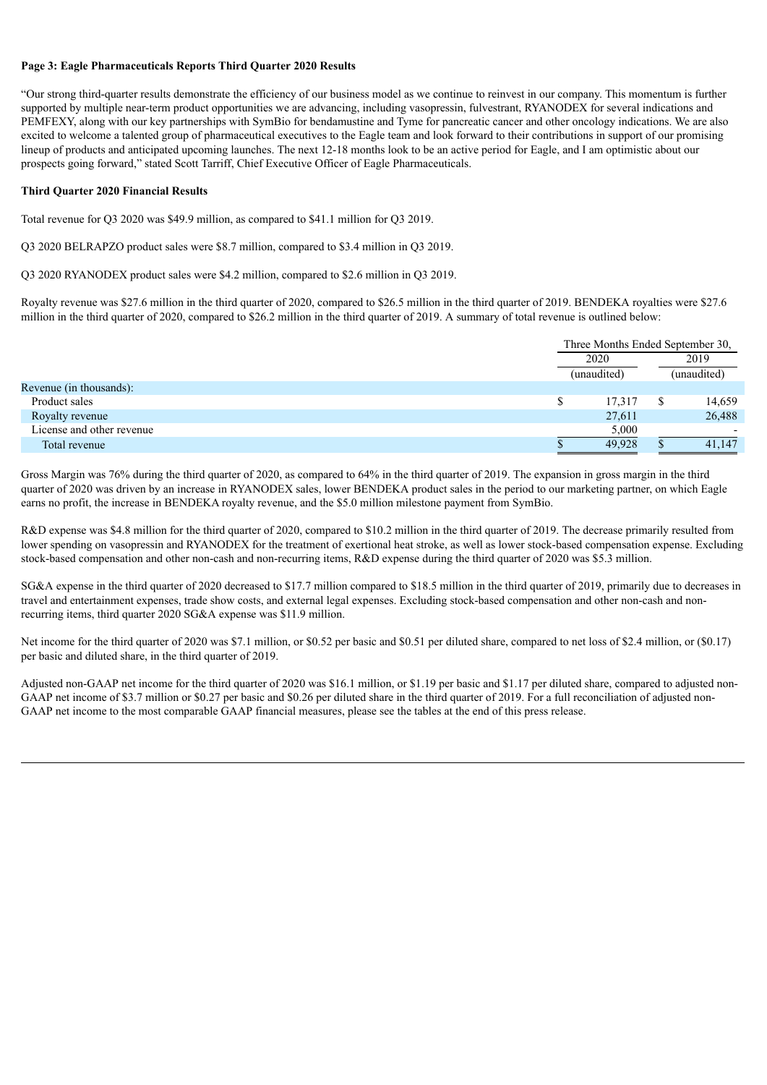### **Page 3: Eagle Pharmaceuticals Reports Third Quarter 2020 Results**

"Our strong third-quarter results demonstrate the efficiency of our business model as we continue to reinvest in our company. This momentum is further supported by multiple near-term product opportunities we are advancing, including vasopressin, fulvestrant, RYANODEX for several indications and PEMFEXY, along with our key partnerships with SymBio for bendamustine and Tyme for pancreatic cancer and other oncology indications. We are also excited to welcome a talented group of pharmaceutical executives to the Eagle team and look forward to their contributions in support of our promising lineup of products and anticipated upcoming launches. The next 12-18 months look to be an active period for Eagle, and I am optimistic about our prospects going forward," stated Scott Tarriff, Chief Executive Officer of Eagle Pharmaceuticals.

#### **Third Quarter 2020 Financial Results**

Total revenue for Q3 2020 was \$49.9 million, as compared to \$41.1 million for Q3 2019.

Q3 2020 BELRAPZO product sales were \$8.7 million, compared to \$3.4 million in Q3 2019.

Q3 2020 RYANODEX product sales were \$4.2 million, compared to \$2.6 million in Q3 2019.

Royalty revenue was \$27.6 million in the third quarter of 2020, compared to \$26.5 million in the third quarter of 2019. BENDEKA royalties were \$27.6 million in the third quarter of 2020, compared to \$26.2 million in the third quarter of 2019. A summary of total revenue is outlined below:

|                           |   | Three Months Ended September 30, |      |             |  |
|---------------------------|---|----------------------------------|------|-------------|--|
|                           |   | 2020                             | 2019 |             |  |
|                           |   | (unaudited)                      |      | (unaudited) |  |
| Revenue (in thousands):   |   |                                  |      |             |  |
| Product sales             | У | 17,317                           |      | 14,659      |  |
| Royalty revenue           |   | 27,611                           |      | 26,488      |  |
| License and other revenue |   | 5.000                            |      |             |  |
| Total revenue             |   | 49.928                           |      | 41,147      |  |

Gross Margin was 76% during the third quarter of 2020, as compared to 64% in the third quarter of 2019. The expansion in gross margin in the third quarter of 2020 was driven by an increase in RYANODEX sales, lower BENDEKA product sales in the period to our marketing partner, on which Eagle earns no profit, the increase in BENDEKA royalty revenue, and the \$5.0 million milestone payment from SymBio.

R&D expense was \$4.8 million for the third quarter of 2020, compared to \$10.2 million in the third quarter of 2019. The decrease primarily resulted from lower spending on vasopressin and RYANODEX for the treatment of exertional heat stroke, as well as lower stock-based compensation expense. Excluding stock-based compensation and other non-cash and non-recurring items, R&D expense during the third quarter of 2020 was \$5.3 million.

SG&A expense in the third quarter of 2020 decreased to \$17.7 million compared to \$18.5 million in the third quarter of 2019, primarily due to decreases in travel and entertainment expenses, trade show costs, and external legal expenses. Excluding stock-based compensation and other non-cash and nonrecurring items, third quarter 2020 SG&A expense was \$11.9 million.

Net income for the third quarter of 2020 was \$7.1 million, or \$0.52 per basic and \$0.51 per diluted share, compared to net loss of \$2.4 million, or (\$0.17) per basic and diluted share, in the third quarter of 2019.

Adjusted non-GAAP net income for the third quarter of 2020 was \$16.1 million, or \$1.19 per basic and \$1.17 per diluted share, compared to adjusted non-GAAP net income of \$3.7 million or \$0.27 per basic and \$0.26 per diluted share in the third quarter of 2019. For a full reconciliation of adjusted non-GAAP net income to the most comparable GAAP financial measures, please see the tables at the end of this press release.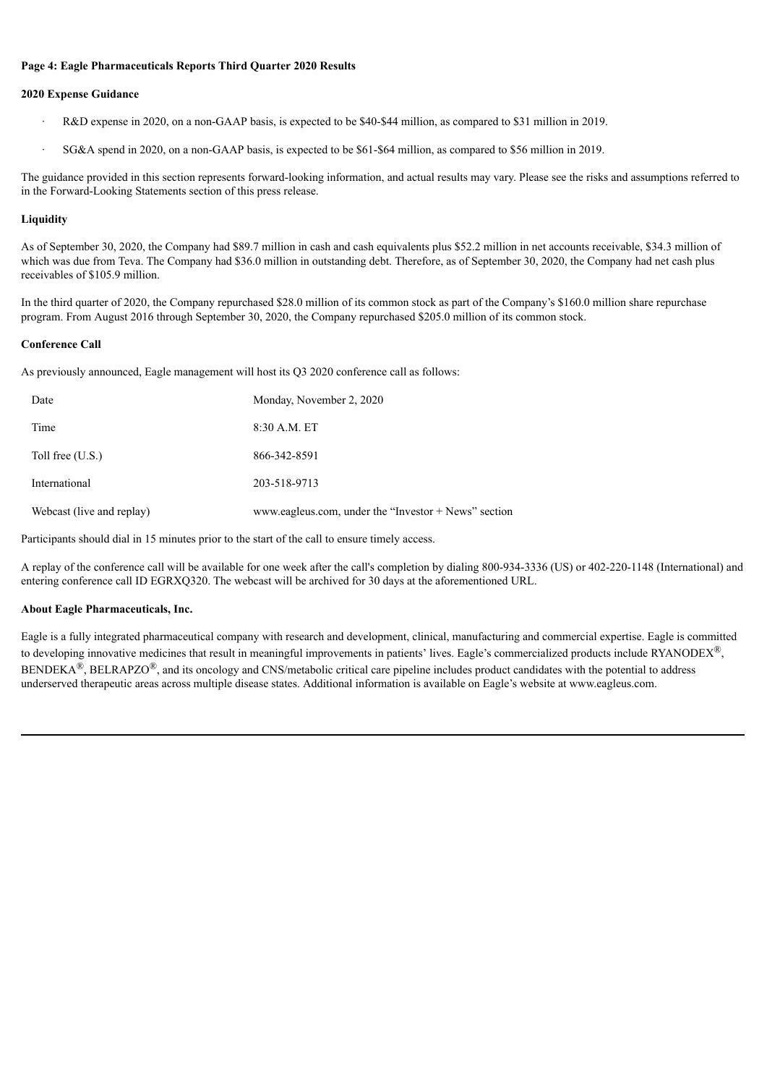# **Page 4: Eagle Pharmaceuticals Reports Third Quarter 2020 Results**

#### **2020 Expense Guidance**

- · R&D expense in 2020, on a non-GAAP basis, is expected to be \$40-\$44 million, as compared to \$31 million in 2019.
- · SG&A spend in 2020, on a non-GAAP basis, is expected to be \$61-\$64 million, as compared to \$56 million in 2019.

The guidance provided in this section represents forward-looking information, and actual results may vary. Please see the risks and assumptions referred to in the Forward-Looking Statements section of this press release.

#### **Liquidity**

As of September 30, 2020, the Company had \$89.7 million in cash and cash equivalents plus \$52.2 million in net accounts receivable, \$34.3 million of which was due from Teva. The Company had \$36.0 million in outstanding debt. Therefore, as of September 30, 2020, the Company had net cash plus receivables of \$105.9 million.

In the third quarter of 2020, the Company repurchased \$28.0 million of its common stock as part of the Company's \$160.0 million share repurchase program. From August 2016 through September 30, 2020, the Company repurchased \$205.0 million of its common stock.

#### **Conference Call**

As previously announced, Eagle management will host its Q3 2020 conference call as follows:

| Date                      | Monday, November 2, 2020                               |
|---------------------------|--------------------------------------------------------|
| Time                      | 8:30 A.M. ET                                           |
| Toll free $(U.S.)$        | 866-342-8591                                           |
| International             | 203-518-9713                                           |
| Webcast (live and replay) | www.eagleus.com, under the "Investor $+$ News" section |

Participants should dial in 15 minutes prior to the start of the call to ensure timely access.

A replay of the conference call will be available for one week after the call's completion by dialing 800-934-3336 (US) or 402-220-1148 (International) and entering conference call ID EGRXQ320. The webcast will be archived for 30 days at the aforementioned URL.

#### **About Eagle Pharmaceuticals, Inc.**

Eagle is a fully integrated pharmaceutical company with research and development, clinical, manufacturing and commercial expertise. Eagle is committed to developing innovative medicines that result in meaningful improvements in patients' lives. Eagle's commercialized products include RYANODEX<sup>®</sup>,  $BENDEKA^{\circledR}$ ,  $BELRAPZO^{\circledR}$ , and its oncology and CNS/metabolic critical care pipeline includes product candidates with the potential to address underserved therapeutic areas across multiple disease states. Additional information is available on Eagle's website at www.eagleus.com.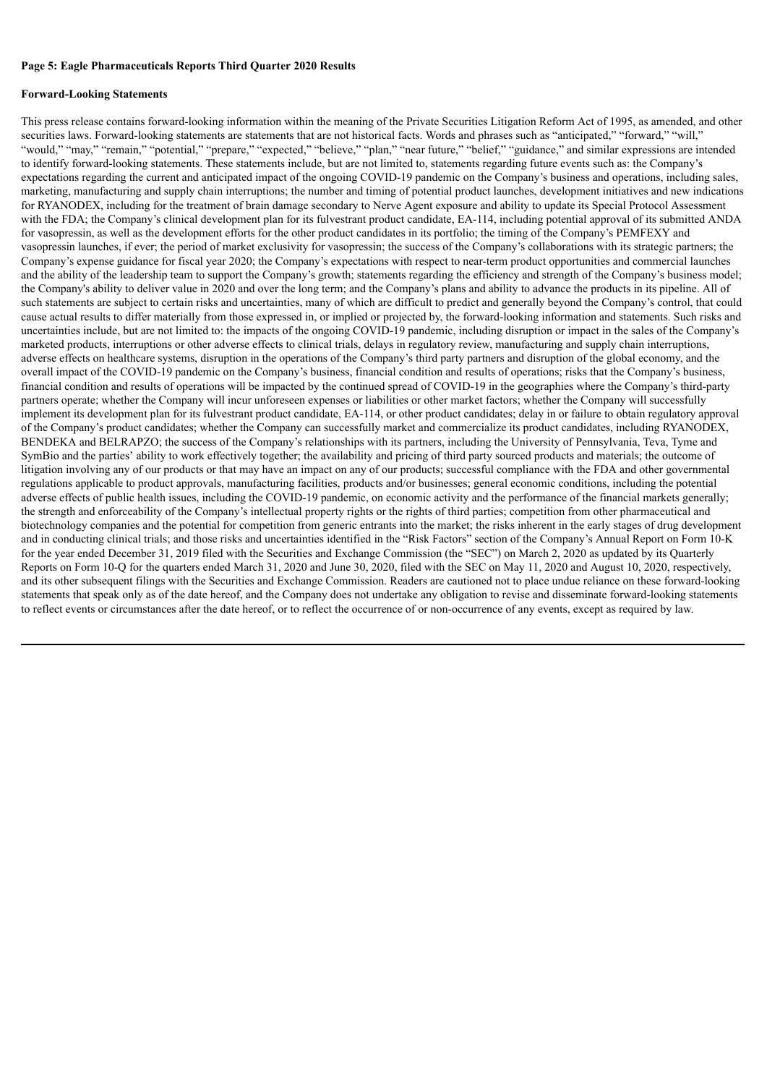#### **Page 5: Eagle Pharmaceuticals Reports Third Quarter 2020 Results**

#### **Forward-Looking Statements**

This press release contains forward-looking information within the meaning of the Private Securities Litigation Reform Act of 1995, as amended, and other securities laws. Forward-looking statements are statements that are not historical facts. Words and phrases such as "anticipated," "forward," "will," "would," "may," "remain," "potential," "prepare," "expected," "believe," "plan," "near future," "belief," "guidance," and similar expressions are intended to identify forward-looking statements. These statements include, but are not limited to, statements regarding future events such as: the Company's expectations regarding the current and anticipated impact of the ongoing COVID-19 pandemic on the Company's business and operations, including sales, marketing, manufacturing and supply chain interruptions; the number and timing of potential product launches, development initiatives and new indications for RYANODEX, including for the treatment of brain damage secondary to Nerve Agent exposure and ability to update its Special Protocol Assessment with the FDA; the Company's clinical development plan for its fulvestrant product candidate, EA-114, including potential approval of its submitted ANDA for vasopressin, as well as the development efforts for the other product candidates in its portfolio; the timing of the Company's PEMFEXY and vasopressin launches, if ever; the period of market exclusivity for vasopressin; the success of the Company's collaborations with its strategic partners; the Company's expense guidance for fiscal year 2020; the Company's expectations with respect to near-term product opportunities and commercial launches and the ability of the leadership team to support the Company's growth; statements regarding the efficiency and strength of the Company's business model; the Company's ability to deliver value in 2020 and over the long term; and the Company's plans and ability to advance the products in its pipeline. All of such statements are subject to certain risks and uncertainties, many of which are difficult to predict and generally beyond the Company's control, that could cause actual results to differ materially from those expressed in, or implied or projected by, the forward-looking information and statements. Such risks and uncertainties include, but are not limited to: the impacts of the ongoing COVID-19 pandemic, including disruption or impact in the sales of the Company's marketed products, interruptions or other adverse effects to clinical trials, delays in regulatory review, manufacturing and supply chain interruptions, adverse effects on healthcare systems, disruption in the operations of the Company's third party partners and disruption of the global economy, and the overall impact of the COVID-19 pandemic on the Company's business, financial condition and results of operations; risks that the Company's business, financial condition and results of operations will be impacted by the continued spread of COVID-19 in the geographies where the Company's third-party partners operate; whether the Company will incur unforeseen expenses or liabilities or other market factors; whether the Company will successfully implement its development plan for its fulvestrant product candidate, EA-114, or other product candidates; delay in or failure to obtain regulatory approval of the Company's product candidates; whether the Company can successfully market and commercialize its product candidates, including RYANODEX, BENDEKA and BELRAPZO; the success of the Company's relationships with its partners, including the University of Pennsylvania, Teva, Tyme and SymBio and the parties' ability to work effectively together; the availability and pricing of third party sourced products and materials; the outcome of litigation involving any of our products or that may have an impact on any of our products; successful compliance with the FDA and other governmental regulations applicable to product approvals, manufacturing facilities, products and/or businesses; general economic conditions, including the potential adverse effects of public health issues, including the COVID-19 pandemic, on economic activity and the performance of the financial markets generally; the strength and enforceability of the Company's intellectual property rights or the rights of third parties; competition from other pharmaceutical and biotechnology companies and the potential for competition from generic entrants into the market; the risks inherent in the early stages of drug development and in conducting clinical trials; and those risks and uncertainties identified in the "Risk Factors" section of the Company's Annual Report on Form 10-K for the year ended December 31, 2019 filed with the Securities and Exchange Commission (the "SEC") on March 2, 2020 as updated by its Quarterly Reports on Form 10-Q for the quarters ended March 31, 2020 and June 30, 2020, filed with the SEC on May 11, 2020 and August 10, 2020, respectively, and its other subsequent filings with the Securities and Exchange Commission. Readers are cautioned not to place undue reliance on these forward-looking statements that speak only as of the date hereof, and the Company does not undertake any obligation to revise and disseminate forward-looking statements to reflect events or circumstances after the date hereof, or to reflect the occurrence of or non-occurrence of any events, except as required by law.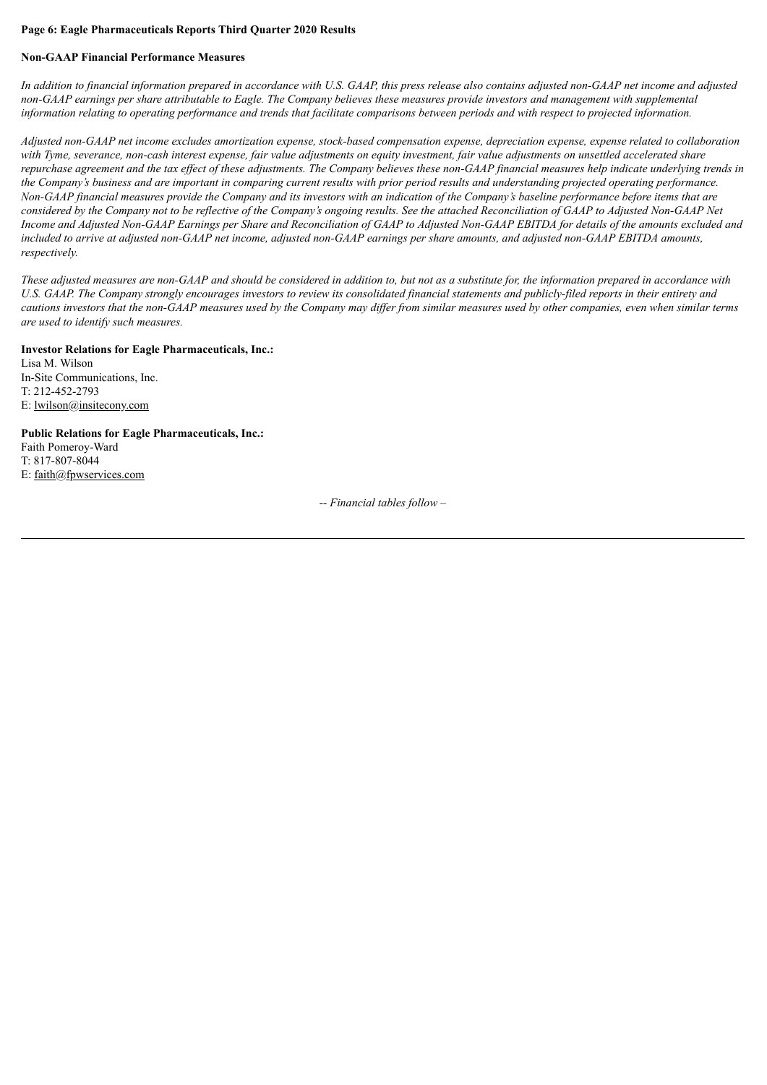# **Page 6: Eagle Pharmaceuticals Reports Third Quarter 2020 Results**

#### **Non-GAAP Financial Performance Measures**

In addition to financial information prepared in accordance with U.S. GAAP, this press release also contains adjusted non-GAAP net income and adjusted non-GAAP earnings per share attributable to Eagle. The Company believes these measures provide investors and management with supplemental information relating to operating performance and trends that facilitate comparisons between periods and with respect to projected information.

Adjusted non-GAAP net income excludes amortization expense, stock-based compensation expense, depreciation expense, expense related to collaboration with Tyme, severance, non-cash interest expense, fair value adjustments on equity investment, fair value adjustments on unsettled accelerated share repurchase agreement and the tax effect of these adjustments. The Company believes these non-GAAP financial measures help indicate underlying trends in the Company's business and are important in comparing current results with prior period results and understanding projected operating performance. Non-GAAP financial measures provide the Company and its investors with an indication of the Company's baseline performance before items that are considered by the Company not to be reflective of the Company's ongoing results. See the attached Reconciliation of GAAP to Adjusted Non-GAAP Net Income and Adjusted Non-GAAP Earnings per Share and Reconciliation of GAAP to Adjusted Non-GAAP EBITDA for details of the amounts excluded and included to arrive at adjusted non-GAAP net income, adjusted non-GAAP earnings per share amounts, and adjusted non-GAAP EBITDA amounts, *respectively.*

These adjusted measures are non-GAAP and should be considered in addition to, but not as a substitute for, the information prepared in accordance with U.S. GAAP. The Company strongly encourages investors to review its consolidated financial statements and publicly-filed reports in their entirety and cautions investors that the non-GAAP measures used by the Company may differ from similar measures used by other companies, even when similar terms *are used to identify such measures.*

#### **Investor Relations for Eagle Pharmaceuticals, Inc.:**

Lisa M. Wilson In-Site Communications, Inc. T: 212-452-2793 E: lwilson@insitecony.com

**Public Relations for Eagle Pharmaceuticals, Inc.:** Faith Pomeroy-Ward T: 817-807-8044 E: faith@fpwservices.com

*-- Financial tables follow –*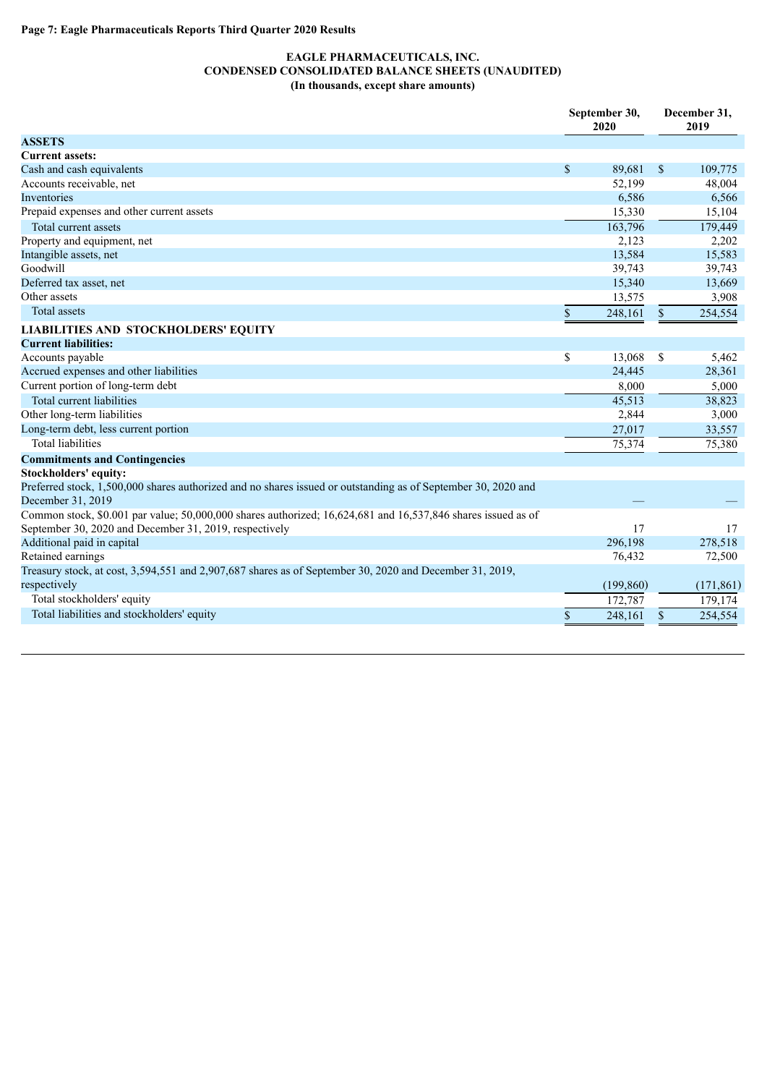## **EAGLE PHARMACEUTICALS, INC. CONDENSED CONSOLIDATED BALANCE SHEETS (UNAUDITED) (In thousands, except share amounts)**

|                                                                                                                                    |              | September 30,<br>2020 |              | December 31,<br>2019 |  |
|------------------------------------------------------------------------------------------------------------------------------------|--------------|-----------------------|--------------|----------------------|--|
| <b>ASSETS</b>                                                                                                                      |              |                       |              |                      |  |
| <b>Current assets:</b>                                                                                                             |              |                       |              |                      |  |
| Cash and cash equivalents                                                                                                          | $\mathbb{S}$ | 89,681                | $\mathbb{S}$ | 109,775              |  |
| Accounts receivable, net                                                                                                           |              | 52,199                |              | 48,004               |  |
| Inventories                                                                                                                        |              | 6,586                 |              | 6,566                |  |
| Prepaid expenses and other current assets                                                                                          |              | 15,330                |              | 15,104               |  |
| Total current assets                                                                                                               |              | 163,796               |              | 179,449              |  |
| Property and equipment, net                                                                                                        |              | 2,123                 |              | 2,202                |  |
| Intangible assets, net                                                                                                             |              | 13,584                |              | 15,583               |  |
| Goodwill                                                                                                                           |              | 39,743                |              | 39,743               |  |
| Deferred tax asset, net                                                                                                            |              | 15,340                |              | 13,669               |  |
| Other assets                                                                                                                       |              | 13,575                |              | 3,908                |  |
| Total assets                                                                                                                       | $\,$         | 248,161               | $\mathbb{S}$ | 254,554              |  |
| <b>LIABILITIES AND STOCKHOLDERS' EQUITY</b>                                                                                        |              |                       |              |                      |  |
| <b>Current liabilities:</b>                                                                                                        |              |                       |              |                      |  |
| Accounts payable                                                                                                                   | \$           | 13,068                | \$           | 5,462                |  |
| Accrued expenses and other liabilities                                                                                             |              | 24,445                |              | 28,361               |  |
| Current portion of long-term debt                                                                                                  |              | 8,000                 |              | 5,000                |  |
| Total current liabilities                                                                                                          |              | 45,513                |              | 38,823               |  |
| Other long-term liabilities                                                                                                        |              | 2,844                 |              | 3,000                |  |
| Long-term debt, less current portion                                                                                               |              | 27,017                |              | 33,557               |  |
| <b>Total liabilities</b>                                                                                                           |              | 75,374                |              | 75,380               |  |
| <b>Commitments and Contingencies</b>                                                                                               |              |                       |              |                      |  |
| <b>Stockholders' equity:</b>                                                                                                       |              |                       |              |                      |  |
| Preferred stock, 1,500,000 shares authorized and no shares issued or outstanding as of September 30, 2020 and<br>December 31, 2019 |              |                       |              |                      |  |
| Common stock, \$0.001 par value; 50,000,000 shares authorized; 16,624,681 and 16,537,846 shares issued as of                       |              |                       |              |                      |  |
| September 30, 2020 and December 31, 2019, respectively                                                                             |              | 17                    |              | 17                   |  |
| Additional paid in capital                                                                                                         |              | 296,198               |              | 278,518              |  |
| Retained earnings                                                                                                                  |              | 76,432                |              | 72,500               |  |
| Treasury stock, at cost, 3,594,551 and 2,907,687 shares as of September 30, 2020 and December 31, 2019,                            |              |                       |              |                      |  |
| respectively                                                                                                                       |              | (199, 860)            |              | (171, 861)           |  |
| Total stockholders' equity                                                                                                         |              | 172,787               |              | 179,174              |  |
| Total liabilities and stockholders' equity                                                                                         | \$           | 248,161               | \$           | 254,554              |  |
|                                                                                                                                    |              |                       |              |                      |  |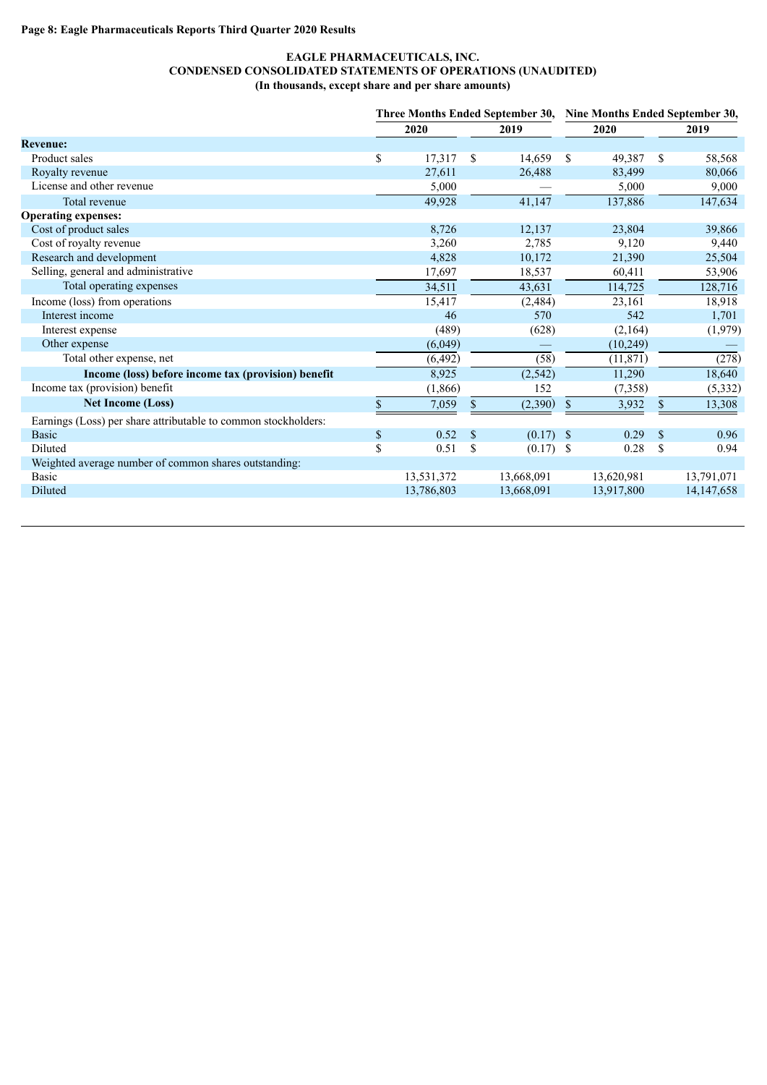# **Page 8: Eagle Pharmaceuticals Reports Third Quarter 2020 Results**

# **EAGLE PHARMACEUTICALS, INC. CONDENSED CONSOLIDATED STATEMENTS OF OPERATIONS (UNAUDITED) (In thousands, except share and per share amounts)**

|                                                                |                         |            |               |             | Three Months Ended September 30, Nine Months Ended September 30, |            |               |              |  |  |
|----------------------------------------------------------------|-------------------------|------------|---------------|-------------|------------------------------------------------------------------|------------|---------------|--------------|--|--|
|                                                                |                         | 2020       | 2019          |             |                                                                  | 2020       |               | 2019         |  |  |
| <b>Revenue:</b>                                                |                         |            |               |             |                                                                  |            |               |              |  |  |
| Product sales                                                  | \$                      | 17,317     | <sup>\$</sup> | 14,659      | <sup>\$</sup>                                                    | 49,387     | <sup>\$</sup> | 58,568       |  |  |
| Royalty revenue                                                |                         | 27,611     |               | 26,488      |                                                                  | 83,499     |               | 80,066       |  |  |
| License and other revenue                                      |                         | 5,000      |               |             |                                                                  | 5,000      |               | 9,000        |  |  |
| Total revenue                                                  |                         | 49,928     |               | 41,147      |                                                                  | 137,886    |               | 147,634      |  |  |
| <b>Operating expenses:</b>                                     |                         |            |               |             |                                                                  |            |               |              |  |  |
| Cost of product sales                                          |                         | 8,726      |               | 12,137      |                                                                  | 23,804     |               | 39,866       |  |  |
| Cost of royalty revenue                                        |                         | 3,260      |               | 2,785       |                                                                  | 9,120      |               | 9,440        |  |  |
| Research and development                                       |                         | 4,828      |               | 10,172      |                                                                  | 21,390     |               | 25,504       |  |  |
| Selling, general and administrative                            |                         | 17,697     |               | 18,537      |                                                                  | 60,411     |               | 53,906       |  |  |
| Total operating expenses                                       |                         | 34,511     |               | 43,631      |                                                                  | 114,725    |               | 128,716      |  |  |
| Income (loss) from operations                                  |                         | 15,417     |               | (2,484)     |                                                                  | 23,161     |               | 18,918       |  |  |
| Interest income                                                |                         | 46         |               | 570         |                                                                  | 542        |               | 1,701        |  |  |
| Interest expense                                               |                         | (489)      |               | (628)       |                                                                  | (2,164)    |               | (1,979)      |  |  |
| Other expense                                                  |                         | (6,049)    |               |             | (10, 249)                                                        |            |               |              |  |  |
| Total other expense, net                                       |                         | (6, 492)   |               | (58)        |                                                                  | (11, 871)  |               | (278)        |  |  |
| Income (loss) before income tax (provision) benefit            |                         | 8,925      |               | (2, 542)    |                                                                  | 11,290     | 18,640        |              |  |  |
| Income tax (provision) benefit                                 |                         | (1, 866)   |               | 152         | (7,358)                                                          |            | (5, 332)      |              |  |  |
| <b>Net Income (Loss)</b>                                       | \$                      | 7,059      | \$            | (2,390)     | $\mathbb{S}$                                                     | 3,932      | $\mathbb{S}$  | 13,308       |  |  |
| Earnings (Loss) per share attributable to common stockholders: |                         |            |               |             |                                                                  |            |               |              |  |  |
| <b>Basic</b>                                                   | \$                      | 0.52       | $\mathbf{s}$  | $(0.17)$ \$ |                                                                  | 0.29       | <sup>\$</sup> | 0.96         |  |  |
| Diluted                                                        | $\overline{\mathbb{S}}$ | 0.51       | \$            | $(0.17)$ \$ |                                                                  | 0.28       | <sup>\$</sup> | 0.94         |  |  |
| Weighted average number of common shares outstanding:          |                         |            |               |             |                                                                  |            |               |              |  |  |
| <b>Basic</b>                                                   |                         | 13,531,372 |               | 13,668,091  |                                                                  | 13,620,981 |               | 13,791,071   |  |  |
| Diluted                                                        |                         | 13,786,803 |               | 13,668,091  |                                                                  | 13,917,800 |               | 14, 147, 658 |  |  |
|                                                                |                         |            |               |             |                                                                  |            |               |              |  |  |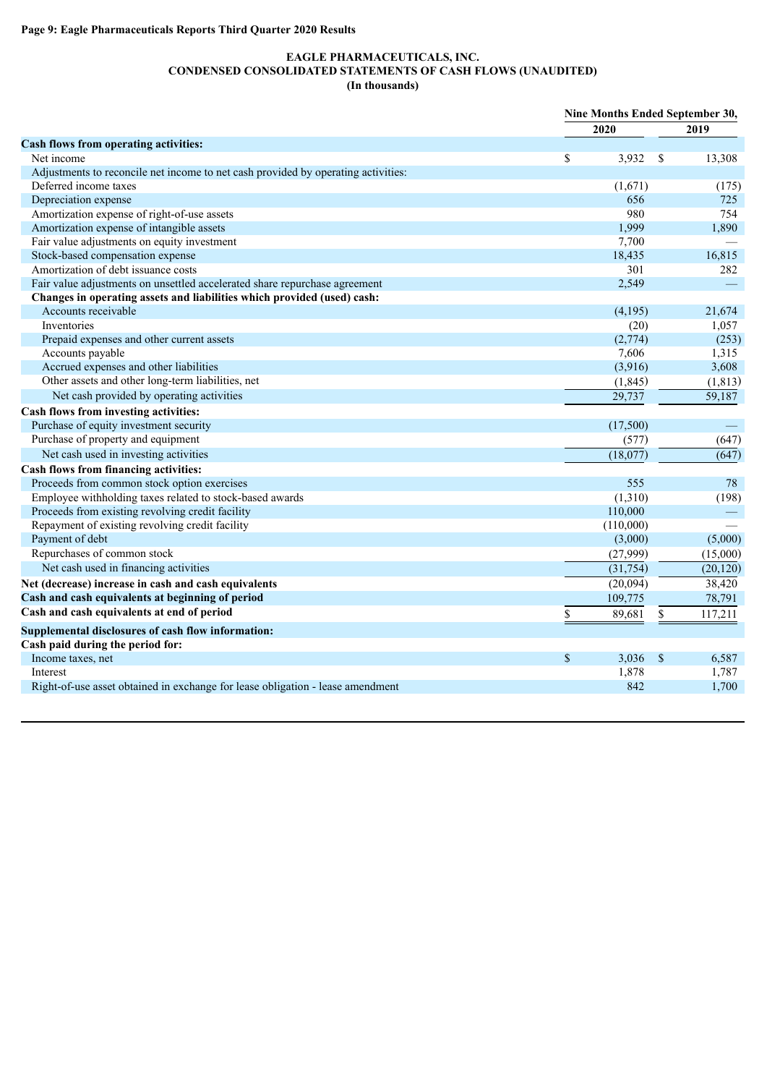## **EAGLE PHARMACEUTICALS, INC. CONDENSED CONSOLIDATED STATEMENTS OF CASH FLOWS (UNAUDITED) (In thousands)**

|                                                                                   |              |      | Nine Months Ended September 30, |  |  |
|-----------------------------------------------------------------------------------|--------------|------|---------------------------------|--|--|
|                                                                                   | 2020         |      | 2019                            |  |  |
| <b>Cash flows from operating activities:</b>                                      |              |      |                                 |  |  |
| Net income                                                                        | \$<br>3,932  | \$   | 13,308                          |  |  |
| Adjustments to reconcile net income to net cash provided by operating activities: |              |      |                                 |  |  |
| Deferred income taxes                                                             | (1,671)      |      | (175)                           |  |  |
| Depreciation expense                                                              | 656          |      | 725                             |  |  |
| Amortization expense of right-of-use assets                                       | 980          |      | 754                             |  |  |
| Amortization expense of intangible assets                                         | 1,999        |      | 1,890                           |  |  |
| Fair value adjustments on equity investment                                       | 7,700        |      |                                 |  |  |
| Stock-based compensation expense                                                  | 18,435       |      | 16,815                          |  |  |
| Amortization of debt issuance costs                                               | 301          |      | 282                             |  |  |
| Fair value adjustments on unsettled accelerated share repurchase agreement        | 2,549        |      |                                 |  |  |
| Changes in operating assets and liabilities which provided (used) cash:           |              |      |                                 |  |  |
| Accounts receivable                                                               | (4,195)      |      | 21,674                          |  |  |
| Inventories                                                                       | (20)         |      | 1,057                           |  |  |
| Prepaid expenses and other current assets                                         | (2,774)      |      | (253)                           |  |  |
| Accounts payable                                                                  | 7,606        |      | 1,315                           |  |  |
| Accrued expenses and other liabilities                                            | (3,916)      |      | 3,608                           |  |  |
| Other assets and other long-term liabilities, net                                 | (1, 845)     |      | (1, 813)                        |  |  |
| Net cash provided by operating activities                                         | 29,737       |      | 59,187                          |  |  |
| Cash flows from investing activities:                                             |              |      |                                 |  |  |
| Purchase of equity investment security                                            | (17,500)     |      |                                 |  |  |
| Purchase of property and equipment                                                | (577)        |      | (647)                           |  |  |
| Net cash used in investing activities                                             | (18,077)     |      | (647)                           |  |  |
| Cash flows from financing activities:                                             |              |      |                                 |  |  |
| Proceeds from common stock option exercises                                       | 555          |      | 78                              |  |  |
| Employee withholding taxes related to stock-based awards                          | (1,310)      |      | (198)                           |  |  |
| Proceeds from existing revolving credit facility                                  | 110,000      |      |                                 |  |  |
| Repayment of existing revolving credit facility                                   | (110,000)    |      |                                 |  |  |
| Payment of debt                                                                   | (3,000)      |      | (5,000)                         |  |  |
| Repurchases of common stock                                                       | (27,999)     |      | (15,000)                        |  |  |
| Net cash used in financing activities                                             | (31, 754)    |      | (20, 120)                       |  |  |
| Net (decrease) increase in cash and cash equivalents                              | (20,094)     |      | 38,420                          |  |  |
| Cash and cash equivalents at beginning of period                                  | 109,775      |      | 78,791                          |  |  |
| Cash and cash equivalents at end of period                                        | \$<br>89,681 | \$   | 117,211                         |  |  |
| Supplemental disclosures of cash flow information:                                |              |      |                                 |  |  |
| Cash paid during the period for:                                                  |              |      |                                 |  |  |
| Income taxes, net                                                                 | \$<br>3,036  | $\$$ | 6,587                           |  |  |
| Interest                                                                          | 1,878        |      | 1,787                           |  |  |
| Right-of-use asset obtained in exchange for lease obligation - lease amendment    | 842          |      | 1,700                           |  |  |
|                                                                                   |              |      |                                 |  |  |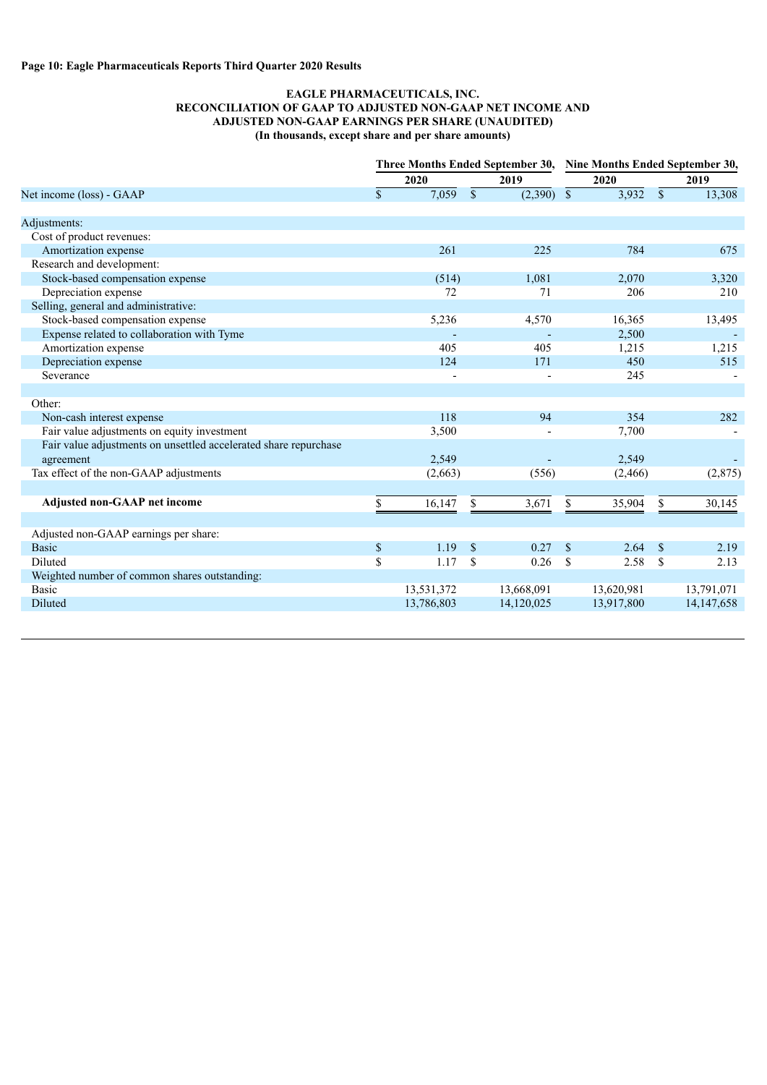#### **EAGLE PHARMACEUTICALS, INC. RECONCILIATION OF GAAP TO ADJUSTED NON-GAAP NET INCOME AND ADJUSTED NON-GAAP EARNINGS PER SHARE (UNAUDITED) (In thousands, except share and per share amounts)**

|                                                                  |      |            |               |                           | Three Months Ended September 30, Nine Months Ended September 30, |            |              |              |  |  |
|------------------------------------------------------------------|------|------------|---------------|---------------------------|------------------------------------------------------------------|------------|--------------|--------------|--|--|
|                                                                  |      | 2020       |               | 2019                      |                                                                  | 2020       |              | 2019         |  |  |
| Net income (loss) - GAAP                                         | \$   | 7,059      | $\mathcal{S}$ | $(2,390)$ $\overline{\$}$ |                                                                  | 3,932      | $\mathbb{S}$ | 13,308       |  |  |
|                                                                  |      |            |               |                           |                                                                  |            |              |              |  |  |
| Adjustments:                                                     |      |            |               |                           |                                                                  |            |              |              |  |  |
| Cost of product revenues:                                        |      |            |               |                           |                                                                  |            |              |              |  |  |
| Amortization expense                                             |      | 261        |               | 225                       |                                                                  | 784        |              | 675          |  |  |
| Research and development:                                        |      |            |               |                           |                                                                  |            |              |              |  |  |
| Stock-based compensation expense                                 |      | (514)      |               | 1,081                     |                                                                  | 2,070      |              | 3,320        |  |  |
| Depreciation expense                                             |      | 72         |               | 71                        |                                                                  | 206        |              | 210          |  |  |
| Selling, general and administrative:                             |      |            |               |                           |                                                                  |            |              |              |  |  |
| Stock-based compensation expense                                 |      | 5,236      |               | 4,570                     |                                                                  | 16,365     |              | 13,495       |  |  |
| Expense related to collaboration with Tyme                       |      |            |               |                           |                                                                  | 2,500      |              |              |  |  |
| Amortization expense                                             |      | 405        |               | 405                       |                                                                  | 1,215      |              | 1,215        |  |  |
| Depreciation expense                                             |      | 124        |               | 171                       |                                                                  | 450        |              | 515          |  |  |
| Severance                                                        |      |            |               |                           |                                                                  | 245        |              |              |  |  |
|                                                                  |      |            |               |                           |                                                                  |            |              |              |  |  |
| Other:                                                           |      |            |               |                           |                                                                  |            |              |              |  |  |
| Non-cash interest expense                                        |      | 118        |               | 94                        |                                                                  | 354        |              | 282          |  |  |
| Fair value adjustments on equity investment                      |      | 3,500      |               |                           |                                                                  | 7,700      |              |              |  |  |
| Fair value adjustments on unsettled accelerated share repurchase |      |            |               |                           |                                                                  |            |              |              |  |  |
| agreement                                                        |      | 2,549      |               |                           |                                                                  | 2,549      |              |              |  |  |
| Tax effect of the non-GAAP adjustments                           |      | (2,663)    |               | (556)                     |                                                                  | (2, 466)   |              | (2,875)      |  |  |
|                                                                  |      |            |               |                           |                                                                  |            |              |              |  |  |
| <b>Adjusted non-GAAP net income</b>                              | \$   | 16,147     | \$            | 3,671                     | \$                                                               | 35,904     | \$           | 30,145       |  |  |
|                                                                  |      |            |               |                           |                                                                  |            |              |              |  |  |
| Adjusted non-GAAP earnings per share:                            |      |            |               |                           |                                                                  |            |              |              |  |  |
| <b>Basic</b>                                                     | $\$$ | 1.19       | \$            | 0.27                      | <sup>\$</sup>                                                    | 2.64       | \$           | 2.19         |  |  |
| Diluted                                                          | \$   | 1.17       | \$            | 0.26                      | <sup>\$</sup>                                                    | 2.58       | \$           | 2.13         |  |  |
| Weighted number of common shares outstanding:                    |      |            |               |                           |                                                                  |            |              |              |  |  |
| <b>Basic</b>                                                     |      | 13,531,372 |               | 13,668,091                |                                                                  | 13,620,981 |              | 13,791,071   |  |  |
| Diluted                                                          |      | 13,786,803 |               | 14,120,025                |                                                                  | 13,917,800 |              | 14, 147, 658 |  |  |
|                                                                  |      |            |               |                           |                                                                  |            |              |              |  |  |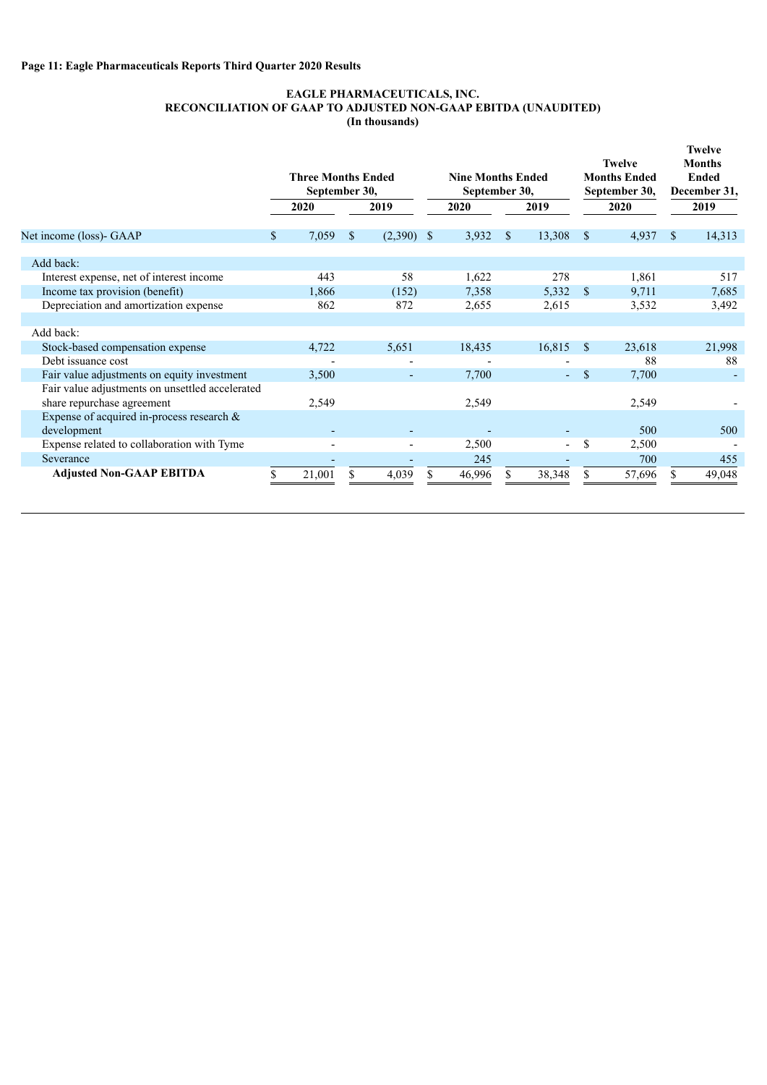# **Page 11: Eagle Pharmaceuticals Reports Third Quarter 2020 Results**

## **EAGLE PHARMACEUTICALS, INC. RECONCILIATION OF GAAP TO ADJUSTED NON-GAAP EBITDA (UNAUDITED) (In thousands)**

|                                                 | <b>Three Months Ended</b><br>September 30, |        |    |                          | <b>Nine Months Ended</b><br>September 30, |              |        |               | <b>Twelve</b><br><b>Months Ended</b><br>September 30, | <b>Twelve</b><br><b>Months</b><br>Ended<br>December 31, |        |  |
|-------------------------------------------------|--------------------------------------------|--------|----|--------------------------|-------------------------------------------|--------------|--------|---------------|-------------------------------------------------------|---------------------------------------------------------|--------|--|
|                                                 |                                            | 2020   |    | 2019                     | 2020                                      | 2019         |        |               | 2020                                                  | 2019                                                    |        |  |
| Net income (loss)- GAAP                         | \$                                         | 7,059  | \$ | $(2,390)$ \$             | 3,932                                     | <sup>S</sup> | 13,308 | <sup>\$</sup> | 4,937                                                 | <sup>\$</sup>                                           | 14,313 |  |
| Add back:                                       |                                            |        |    |                          |                                           |              |        |               |                                                       |                                                         |        |  |
| Interest expense, net of interest income        |                                            | 443    |    | 58                       | 1,622                                     |              | 278    |               | 1,861                                                 |                                                         | 517    |  |
| Income tax provision (benefit)                  |                                            | 1,866  |    | (152)                    | 7,358                                     |              | 5,332  | S             | 9,711                                                 |                                                         | 7,685  |  |
| Depreciation and amortization expense           |                                            | 862    |    | 872                      | 2,655                                     |              | 2,615  |               | 3,532                                                 |                                                         | 3,492  |  |
|                                                 |                                            |        |    |                          |                                           |              |        |               |                                                       |                                                         |        |  |
| Add back:                                       |                                            |        |    |                          |                                           |              |        |               |                                                       |                                                         |        |  |
| Stock-based compensation expense                |                                            | 4,722  |    | 5,651                    | 18,435                                    |              | 16,815 | -S            | 23,618                                                |                                                         | 21,998 |  |
| Debt issuance cost                              |                                            |        |    | $\overline{\phantom{a}}$ |                                           |              |        |               | 88                                                    |                                                         | 88     |  |
| Fair value adjustments on equity investment     |                                            | 3,500  |    | $\overline{\phantom{a}}$ | 7,700                                     |              | ÷.     | <sup>\$</sup> | 7,700                                                 |                                                         |        |  |
| Fair value adjustments on unsettled accelerated |                                            |        |    |                          |                                           |              |        |               |                                                       |                                                         |        |  |
| share repurchase agreement                      |                                            | 2,549  |    |                          | 2,549                                     |              |        |               | 2,549                                                 |                                                         |        |  |
| Expense of acquired in-process research $\&$    |                                            |        |    |                          |                                           |              |        |               |                                                       |                                                         |        |  |
| development                                     |                                            |        |    |                          |                                           |              |        |               | 500                                                   |                                                         | 500    |  |
| Expense related to collaboration with Tyme      |                                            |        |    | $\overline{\phantom{a}}$ | 2,500                                     |              | ٠      | <sup>\$</sup> | 2,500                                                 |                                                         |        |  |
| Severance                                       |                                            |        |    |                          | 245                                       |              |        |               | 700                                                   |                                                         | 455    |  |
| <b>Adjusted Non-GAAP EBITDA</b>                 |                                            | 21,001 |    | 4,039                    | 46,996                                    |              | 38,348 |               | 57,696                                                |                                                         | 49,048 |  |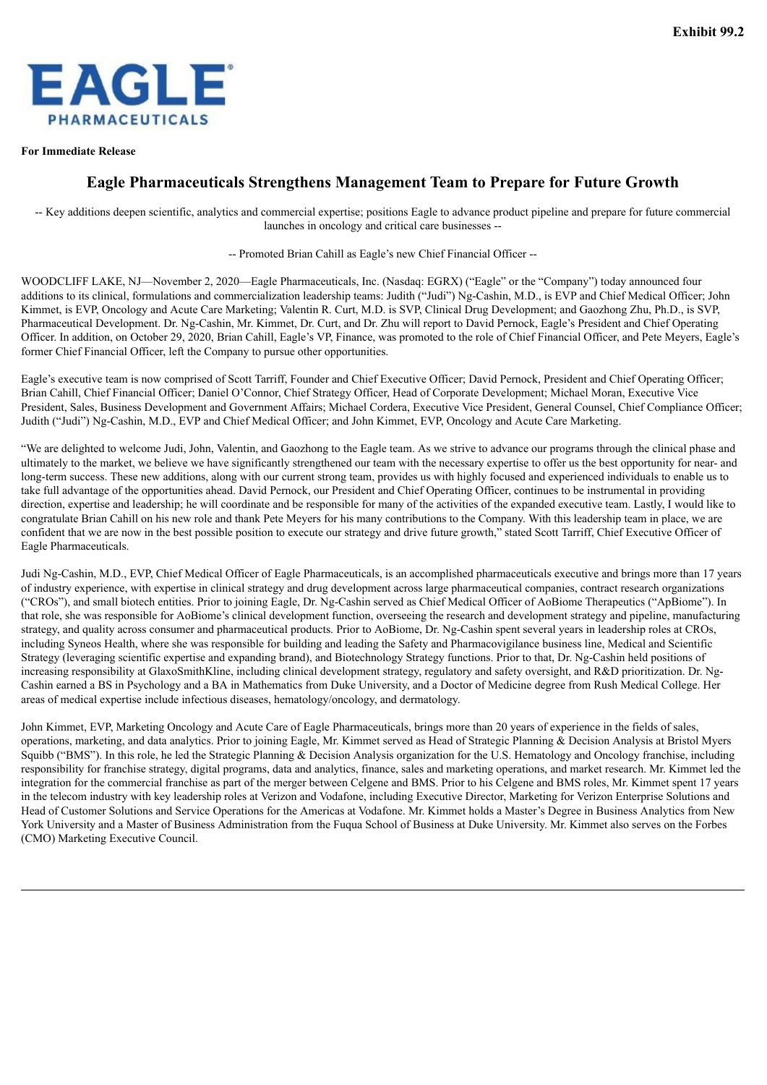<span id="page-15-0"></span>

**For Immediate Release**

# **Eagle Pharmaceuticals Strengthens Management Team to Prepare for Future Growth**

-- Key additions deepen scientific, analytics and commercial expertise; positions Eagle to advance product pipeline and prepare for future commercial launches in oncology and critical care businesses --

-- Promoted Brian Cahill as Eagle's new Chief Financial Officer --

WOODCLIFF LAKE, NJ—November 2, 2020—Eagle Pharmaceuticals, Inc. (Nasdaq: EGRX) ("Eagle" or the "Company") today announced four additions to its clinical, formulations and commercialization leadership teams: Judith ("Judi") Ng-Cashin, M.D., is EVP and Chief Medical Officer; John Kimmet, is EVP, Oncology and Acute Care Marketing; Valentin R. Curt, M.D. is SVP, Clinical Drug Development; and Gaozhong Zhu, Ph.D., is SVP, Pharmaceutical Development. Dr. Ng-Cashin, Mr. Kimmet, Dr. Curt, and Dr. Zhu will report to David Pernock, Eagle's President and Chief Operating Officer. In addition, on October 29, 2020, Brian Cahill, Eagle's VP, Finance, was promoted to the role of Chief Financial Officer, and Pete Meyers, Eagle's former Chief Financial Officer, left the Company to pursue other opportunities.

Eagle's executive team is now comprised of Scott Tarriff, Founder and Chief Executive Officer; David Pernock, President and Chief Operating Officer; Brian Cahill, Chief Financial Officer; Daniel O'Connor, Chief Strategy Officer, Head of Corporate Development; Michael Moran, Executive Vice President, Sales, Business Development and Government Affairs; Michael Cordera, Executive Vice President, General Counsel, Chief Compliance Officer; Judith ("Judi") Ng-Cashin, M.D., EVP and Chief Medical Officer; and John Kimmet, EVP, Oncology and Acute Care Marketing.

"We are delighted to welcome Judi, John, Valentin, and Gaozhong to the Eagle team. As we strive to advance our programs through the clinical phase and ultimately to the market, we believe we have significantly strengthened our team with the necessary expertise to offer us the best opportunity for near- and long-term success. These new additions, along with our current strong team, provides us with highly focused and experienced individuals to enable us to take full advantage of the opportunities ahead. David Pernock, our President and Chief Operating Officer, continues to be instrumental in providing direction, expertise and leadership; he will coordinate and be responsible for many of the activities of the expanded executive team. Lastly, I would like to congratulate Brian Cahill on his new role and thank Pete Meyers for his many contributions to the Company. With this leadership team in place, we are confident that we are now in the best possible position to execute our strategy and drive future growth," stated Scott Tarriff, Chief Executive Officer of Eagle Pharmaceuticals.

Judi Ng-Cashin, M.D., EVP, Chief Medical Officer of Eagle Pharmaceuticals, is an accomplished pharmaceuticals executive and brings more than 17 years of industry experience, with expertise in clinical strategy and drug development across large pharmaceutical companies, contract research organizations ("CROs"), and small biotech entities. Prior to joining Eagle, Dr. Ng-Cashin served as Chief Medical Officer of AoBiome Therapeutics ("ApBiome"). In that role, she was responsible for AoBiome's clinical development function, overseeing the research and development strategy and pipeline, manufacturing strategy, and quality across consumer and pharmaceutical products. Prior to AoBiome, Dr. Ng-Cashin spent several years in leadership roles at CROs, including Syneos Health, where she was responsible for building and leading the Safety and Pharmacovigilance business line, Medical and Scientific Strategy (leveraging scientific expertise and expanding brand), and Biotechnology Strategy functions. Prior to that, Dr. Ng-Cashin held positions of increasing responsibility at GlaxoSmithKline, including clinical development strategy, regulatory and safety oversight, and R&D prioritization. Dr. Ng-Cashin earned a BS in Psychology and a BA in Mathematics from Duke University, and a Doctor of Medicine degree from Rush Medical College. Her areas of medical expertise include infectious diseases, hematology/oncology, and dermatology.

John Kimmet, EVP, Marketing Oncology and Acute Care of Eagle Pharmaceuticals, brings more than 20 years of experience in the fields of sales, operations, marketing, and data analytics. Prior to joining Eagle, Mr. Kimmet served as Head of Strategic Planning & Decision Analysis at Bristol Myers Squibb ("BMS"). In this role, he led the Strategic Planning & Decision Analysis organization for the U.S. Hematology and Oncology franchise, including responsibility for franchise strategy, digital programs, data and analytics, finance, sales and marketing operations, and market research. Mr. Kimmet led the integration for the commercial franchise as part of the merger between Celgene and BMS. Prior to his Celgene and BMS roles, Mr. Kimmet spent 17 years in the telecom industry with key leadership roles at Verizon and Vodafone, including Executive Director, Marketing for Verizon Enterprise Solutions and Head of Customer Solutions and Service Operations for the Americas at Vodafone. Mr. Kimmet holds a Master's Degree in Business Analytics from New York University and a Master of Business Administration from the Fuqua School of Business at Duke University. Mr. Kimmet also serves on the Forbes (CMO) Marketing Executive Council.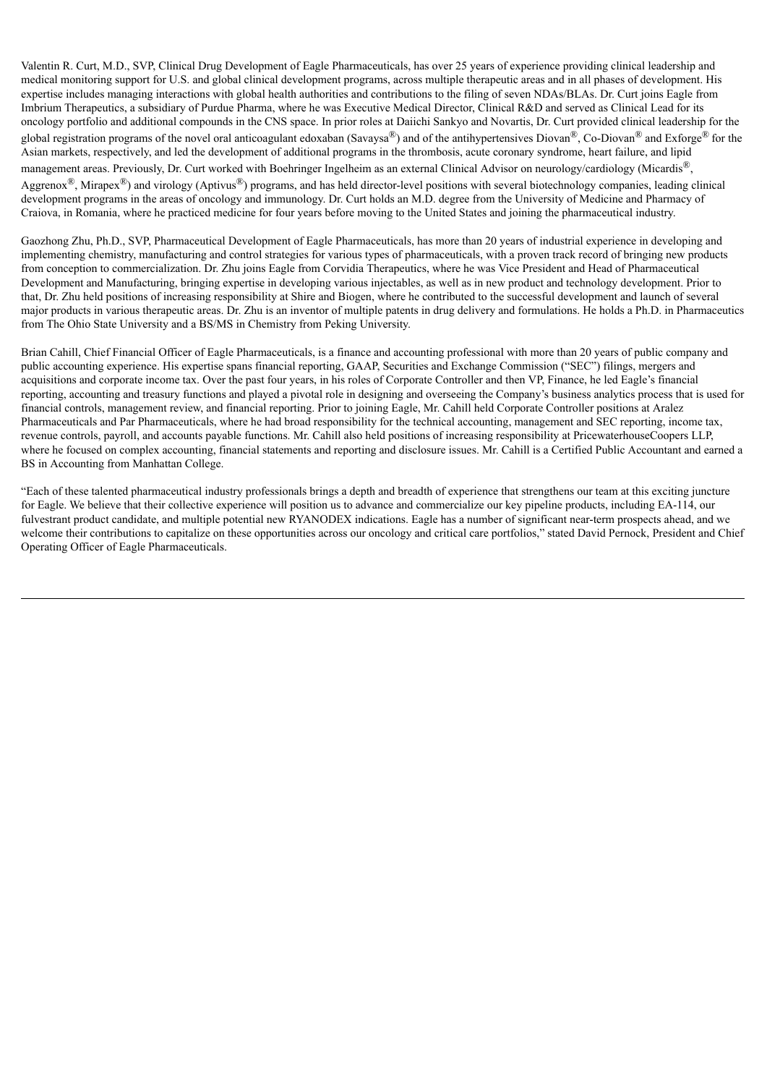Valentin R. Curt, M.D., SVP, Clinical Drug Development of Eagle Pharmaceuticals, has over 25 years of experience providing clinical leadership and medical monitoring support for U.S. and global clinical development programs, across multiple therapeutic areas and in all phases of development. His expertise includes managing interactions with global health authorities and contributions to the filing of seven NDAs/BLAs. Dr. Curt joins Eagle from Imbrium Therapeutics, a subsidiary of Purdue Pharma, where he was Executive Medical Director, Clinical R&D and served as Clinical Lead for its oncology portfolio and additional compounds in the CNS space. In prior roles at Daiichi Sankyo and Novartis, Dr. Curt provided clinical leadership for the global registration programs of the novel oral anticoagulant edoxaban (Savaysa®) and of the antihypertensives Diovan®, Co-Diovan® and Exforge<sup>®</sup> for the Asian markets, respectively, and led the development of additional programs in the thrombosis, acute coronary syndrome, heart failure, and lipid

management areas. Previously, Dr. Curt worked with Boehringer Ingelheim as an external Clinical Advisor on neurology/cardiology (Micardis<sup>®</sup>, Aggrenox<sup>®</sup>, Mirapex<sup>®</sup>) and virology (Aptivus<sup>®</sup>) programs, and has held director-level positions with several biotechnology companies, leading clinical development programs in the areas of oncology and immunology. Dr. Curt holds an M.D. degree from the University of Medicine and Pharmacy of Craiova, in Romania, where he practiced medicine for four years before moving to the United States and joining the pharmaceutical industry.

Gaozhong Zhu, Ph.D., SVP, Pharmaceutical Development of Eagle Pharmaceuticals, has more than 20 years of industrial experience in developing and implementing chemistry, manufacturing and control strategies for various types of pharmaceuticals, with a proven track record of bringing new products from conception to commercialization. Dr. Zhu joins Eagle from Corvidia Therapeutics, where he was Vice President and Head of Pharmaceutical Development and Manufacturing, bringing expertise in developing various injectables, as well as in new product and technology development. Prior to that, Dr. Zhu held positions of increasing responsibility at Shire and Biogen, where he contributed to the successful development and launch of several major products in various therapeutic areas. Dr. Zhu is an inventor of multiple patents in drug delivery and formulations. He holds a Ph.D. in Pharmaceutics from The Ohio State University and a BS/MS in Chemistry from Peking University.

Brian Cahill, Chief Financial Officer of Eagle Pharmaceuticals, is a finance and accounting professional with more than 20 years of public company and public accounting experience. His expertise spans financial reporting, GAAP, Securities and Exchange Commission ("SEC") filings, mergers and acquisitions and corporate income tax. Over the past four years, in his roles of Corporate Controller and then VP, Finance, he led Eagle's financial reporting, accounting and treasury functions and played a pivotal role in designing and overseeing the Company's business analytics process that is used for financial controls, management review, and financial reporting. Prior to joining Eagle, Mr. Cahill held Corporate Controller positions at Aralez Pharmaceuticals and Par Pharmaceuticals, where he had broad responsibility for the technical accounting, management and SEC reporting, income tax, revenue controls, payroll, and accounts payable functions. Mr. Cahill also held positions of increasing responsibility at PricewaterhouseCoopers LLP, where he focused on complex accounting, financial statements and reporting and disclosure issues. Mr. Cahill is a Certified Public Accountant and earned a BS in Accounting from Manhattan College.

"Each of these talented pharmaceutical industry professionals brings a depth and breadth of experience that strengthens our team at this exciting juncture for Eagle. We believe that their collective experience will position us to advance and commercialize our key pipeline products, including EA-114, our fulvestrant product candidate, and multiple potential new RYANODEX indications. Eagle has a number of significant near-term prospects ahead, and we welcome their contributions to capitalize on these opportunities across our oncology and critical care portfolios," stated David Pernock, President and Chief Operating Officer of Eagle Pharmaceuticals.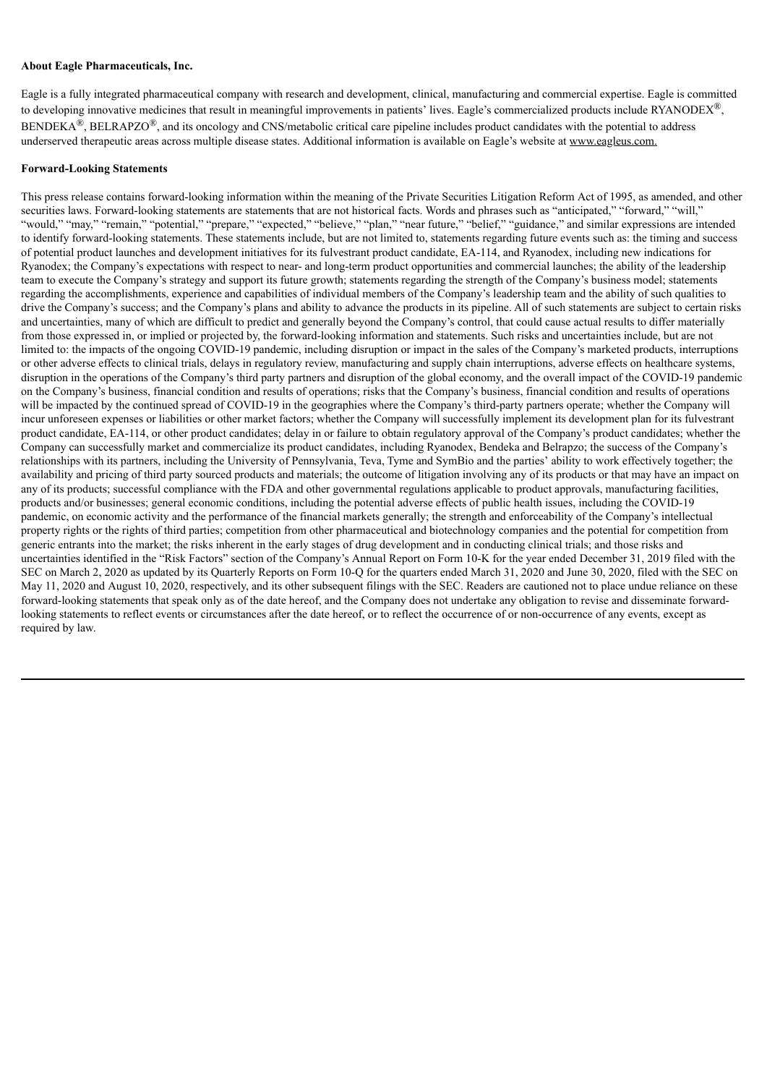#### **About Eagle Pharmaceuticals, Inc.**

Eagle is a fully integrated pharmaceutical company with research and development, clinical, manufacturing and commercial expertise. Eagle is committed to developing innovative medicines that result in meaningful improvements in patients' lives. Eagle's commercialized products include RYANODEX<sup>®</sup>,  $BENDEKA^{\circledR}$ ,  $BELRAPZO^{\circledR}$ , and its oncology and CNS/metabolic critical care pipeline includes product candidates with the potential to address underserved therapeutic areas across multiple disease states. Additional information is available on Eagle's website at www.eagleus.com.

#### **Forward-Looking Statements**

This press release contains forward-looking information within the meaning of the Private Securities Litigation Reform Act of 1995, as amended, and other securities laws. Forward-looking statements are statements that are not historical facts. Words and phrases such as "anticipated," "forward," "will," "would," "may," "remain," "potential," "prepare," "expected," "believe," "plan," "near future," "belief," "guidance," and similar expressions are intended to identify forward-looking statements. These statements include, but are not limited to, statements regarding future events such as: the timing and success of potential product launches and development initiatives for its fulvestrant product candidate, EA-114, and Ryanodex, including new indications for Ryanodex; the Company's expectations with respect to near- and long-term product opportunities and commercial launches; the ability of the leadership team to execute the Company's strategy and support its future growth; statements regarding the strength of the Company's business model; statements regarding the accomplishments, experience and capabilities of individual members of the Company's leadership team and the ability of such qualities to drive the Company's success; and the Company's plans and ability to advance the products in its pipeline. All of such statements are subject to certain risks and uncertainties, many of which are difficult to predict and generally beyond the Company's control, that could cause actual results to differ materially from those expressed in, or implied or projected by, the forward-looking information and statements. Such risks and uncertainties include, but are not limited to: the impacts of the ongoing COVID-19 pandemic, including disruption or impact in the sales of the Company's marketed products, interruptions or other adverse effects to clinical trials, delays in regulatory review, manufacturing and supply chain interruptions, adverse effects on healthcare systems, disruption in the operations of the Company's third party partners and disruption of the global economy, and the overall impact of the COVID-19 pandemic on the Company's business, financial condition and results of operations; risks that the Company's business, financial condition and results of operations will be impacted by the continued spread of COVID-19 in the geographies where the Company's third-party partners operate; whether the Company will incur unforeseen expenses or liabilities or other market factors; whether the Company will successfully implement its development plan for its fulvestrant product candidate, EA-114, or other product candidates; delay in or failure to obtain regulatory approval of the Company's product candidates; whether the Company can successfully market and commercialize its product candidates, including Ryanodex, Bendeka and Belrapzo; the success of the Company's relationships with its partners, including the University of Pennsylvania, Teva, Tyme and SymBio and the parties' ability to work effectively together; the availability and pricing of third party sourced products and materials; the outcome of litigation involving any of its products or that may have an impact on any of its products; successful compliance with the FDA and other governmental regulations applicable to product approvals, manufacturing facilities, products and/or businesses; general economic conditions, including the potential adverse effects of public health issues, including the COVID-19 pandemic, on economic activity and the performance of the financial markets generally; the strength and enforceability of the Company's intellectual property rights or the rights of third parties; competition from other pharmaceutical and biotechnology companies and the potential for competition from generic entrants into the market; the risks inherent in the early stages of drug development and in conducting clinical trials; and those risks and uncertainties identified in the "Risk Factors" section of the Company's Annual Report on Form 10-K for the year ended December 31, 2019 filed with the SEC on March 2, 2020 as updated by its Quarterly Reports on Form 10-Q for the quarters ended March 31, 2020 and June 30, 2020, filed with the SEC on May 11, 2020 and August 10, 2020, respectively, and its other subsequent filings with the SEC. Readers are cautioned not to place undue reliance on these forward-looking statements that speak only as of the date hereof, and the Company does not undertake any obligation to revise and disseminate forwardlooking statements to reflect events or circumstances after the date hereof, or to reflect the occurrence of or non-occurrence of any events, except as required by law.